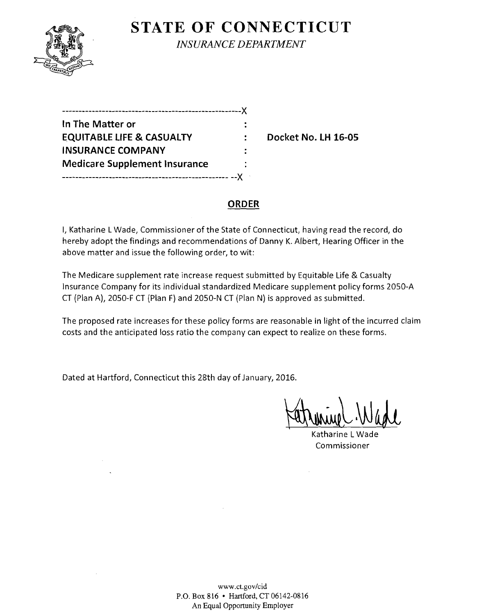

**STATE OF CONNECTICUT** *INSURANCE DEPARTMENT* 

| In The Matter or                     |  |
|--------------------------------------|--|
| <b>EQUITABLE LIFE &amp; CASUALTY</b> |  |
| <b>INSURANCE COMPANY</b>             |  |
| <b>Medicare Supplement Insurance</b> |  |
|                                      |  |

**EQUITABLE LIFE & CASUALTY Docket No. LH 16-05** 

## **ORDER**

I, Katharine LWade, Commissioner of the State of Connecticut, having read the record, do hereby adopt the findings and recommendations of Danny K. Albert, Hearing Officer in the above matter and issue the following order, to wit:

The Medicare supplement rate increase request submitted by Equitable Life & Casualty Insurance Company for its individual standardized Medicare supplement policy forms 20S0-A CT (Plan A), 20S0-F CT (Plan F) and 20S0-N CT (Plan N) is approved as submitted.

The proposed rate increases for these policy forms are reasonable **in** light ofthe incurred claim costs and the anticipated loss ratio the company can expect to realize on these forms.

Dated at Hartford, Connecticut this 28th day of January, 2016.

Jatrinie Wade

Katharine LWade Commissioner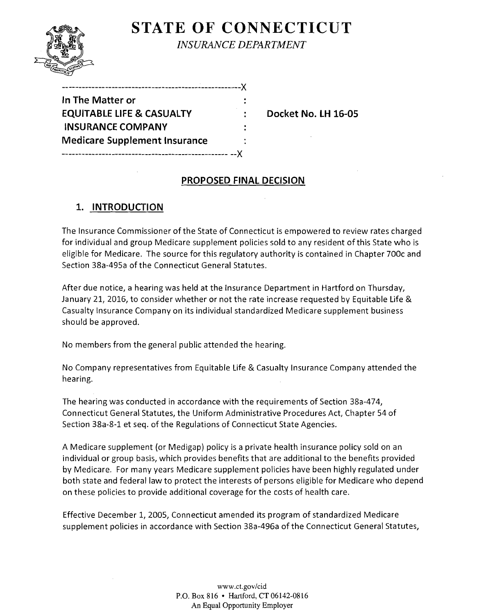# **STATE OF CONNECTICUT** *INSURANCE DEPARTMENT*

| -------------------------------X     |  |
|--------------------------------------|--|
| In The Matter or                     |  |
| <b>EQUITABLE LIFE &amp; CASUALTY</b> |  |
| <b>INSURANCE COMPANY</b>             |  |
| <b>Medicare Supplement Insurance</b> |  |
|                                      |  |

**EQUITABLE LIFE & CASUALTY Docket No. LH 16-05** 

## **PROPOSED FINAL DECISION**

## **1. INTRODUCTION**

The Insurance Commissioner of the State of Connecticut is empowered to review rates charged for individual and group Medicare supplement policies sold to any resident of this State who is eligible for Medicare. The source for this regulatory authority is contained in Chapter 700c and Section 38a-495a of the Connecticut General Statutes.

After due notice, a hearing was held at the Insurance Department in Hartford on Thursday, January 21, 2016, to consider whether or not the rate increase requested by Equitable Life & Casualty Insurance Company on its individual standardized Medicare supplement business should be approved.

No members from the general public attended the hearing.

No Company representatives from Equitable Life & Casualty Insurance Company attended the hearing.

The hearing was conducted in accordance with the requirements of Section 38a-474, Connecticut General Statutes, the Uniform Administrative Procedures Act, Chapter 54 of Section 38a-8-1 et seq. of the Regulations of Connecticut State Agencies.

A Medicare supplement (or Medigap) policy is a private health insurance policy sold on an individual or group basis, which provides benefits that are additional to the benefits provided by Medicare. For many years Medicare supplement policies have been highly regulated under both state and federal law to protect the interests of persons eligible for Medicare who depend on these policies to provide additional coverage for the costs of health care.

Effective December I, 2005, Connecticut amended its program of standardized Medicare supplement policies in accordance with Section 38a-496a of the Connecticut General Statutes,

> www.ct.gov/cid P.O. Box 816 • Hartford, CT 06142-0816 An Equal Opportunity Employer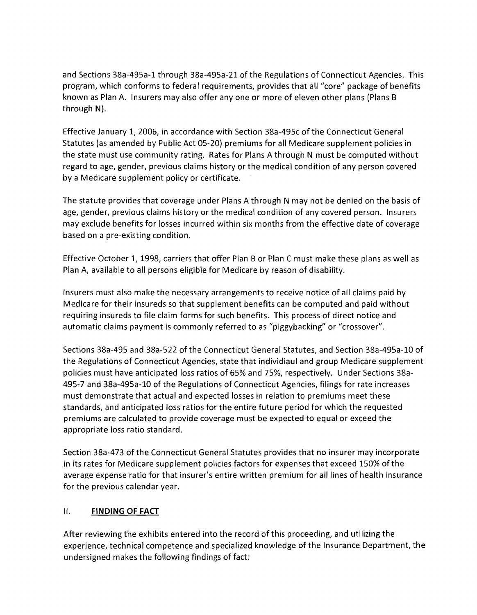and Sections 38a-495a-1 through 38a-495a-21 of the Regulations of Connecticut Agencies. This program, which conforms to federal requirements, provides that all "core" package of benefits known as Plan A. Insurers may also offer anyone or more of eleven other plans (Plans B through N).

Effective January 1, 2006, in accordance with Section 38a-495c of the Connecticut General Statutes (as amended by Public Act 05-20) premiums for all Medicare supplement policies in the state must use community rating. Rates for Plans A through N must be computed without regard to age, gender, previous claims history or the medical condition of any person covered by a Medicare supplement policy or certificate.

The statute provides that coverage under Plans A through N may not be denied on the basis of age, gender, previous claims history or the medical condition of any covered person. Insurers may exclude benefits for losses incurred within six months from the effective date of coverage based on a pre-existing condition.

Effective October 1, 1998, carriers that offer Plan B or Plan C must make these plans as well as Plan A, available to all persons eligible for Medicare by reason of disability.

Insurers must also make the necessary arrangements to receive notice of all claims paid by Medicare for their insureds so that supplement benefits can be computed and paid without requiring insureds to file claim forms for such benefits. This process of direct notice and automatic claims payment is commonly referred to as "piggybacking" or "crossover".

Sections 38a-495 and 38a-522 ofthe Connecticut General Statutes, and Section 38a-495a-10 of the Regulations of Connecticut Agencies, state that individiaul and group Medicare supplement policies must have anticipated loss ratios of 65% and 75%, respectively. Under Sections 38a-495-7 and 38a-495a-10 of the Regulations of Connecticut Agencies, filings for rate increases must demonstrate that actual and expected losses in relation to premiums meet these standards, and anticipated loss ratios for the entire future period for which the requested premiums are calculated to provide coverage must be expected to equal or exceed the appropriate loss ratio standard.

Section 38a-473 of the Connecticut General Statutes provides that no insurer may incorporate in its rates for Medicare supplement policies factors for expenses that exceed 150% of the average expense ratio for that insurer's entire written premium for all lines of health insurance for the previous calendar year.

## II. **FINDING OF FACT**

After reviewing the exhibits entered into the record of this proceeding, and utilizing the experience, technical competence and specialized knowledge of the Insurance Department, the undersigned makes the following findings of fact: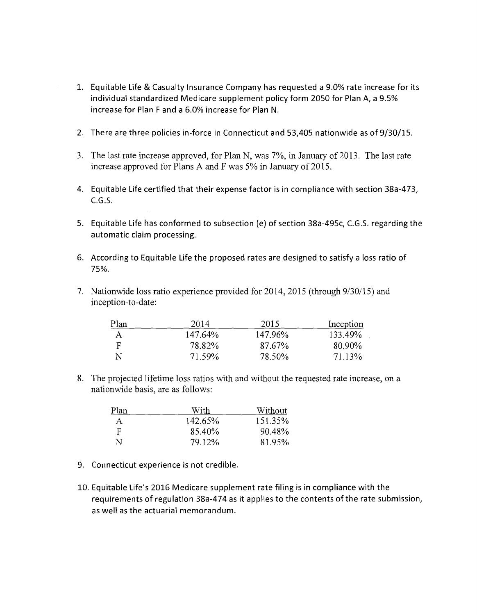- 1. Equitable Life & Casualty Insurance Company has requested a 9.0% rate increase for its individual standardized Medicare supplement policy form 2050 for Plan A, a 9.5% increase for Plan F and a 6.0% increase for Plan N.
- 2. There are three policies in-force in Connecticut and 53,405 nationwide as of 9/30/15.
- 3. The last rate increase approved, for Plan N, was 7%, in January of 2013. The last rate increase approved for Plans A and F was 5% in January of 2015.
- 4. Equitable Life certified that their expense factor is in compliance with section 38a-473,  $C.G.S.$
- 5. Equitable Life has conformed to subsection (e) of section 38a-495c, C.G.S. regarding the automatic claim processing.
- 6. According to Equitable Life the proposed rates are designed to satisfy a loss ratio of 75%.
- 7. Nationwide loss ratio experience provided for 2014, 2015 (through 9/30/15) and inception-to-date:

| Plan | 2014    | 2015    | Inception |
|------|---------|---------|-----------|
| А    | 147.64% | 147.96% | 133.49%   |
| F    | 78.82%  | 87.67%  | 80.90%    |
|      | 71.59%  | 78.50%  | 71.13%    |

8. The projected lifetime loss ratios with and without the requested rate increase, on a nationwide basis, are as follows:

| Plan         | With    | Without |
|--------------|---------|---------|
| $\mathsf{A}$ | 142.65% | 151.35% |
| F            | 85.40%  | 90.48%  |
| N            | 79.12%  | 81.95%  |

- 9. Connecticut experience is not credible.
- 10. Equitable Life's 2016 Medicare supplement rate filing is in compliance with the requirements of regulation 38a-474 as it applies to the contents of the rate submission, as well as the actuarial memorandum.